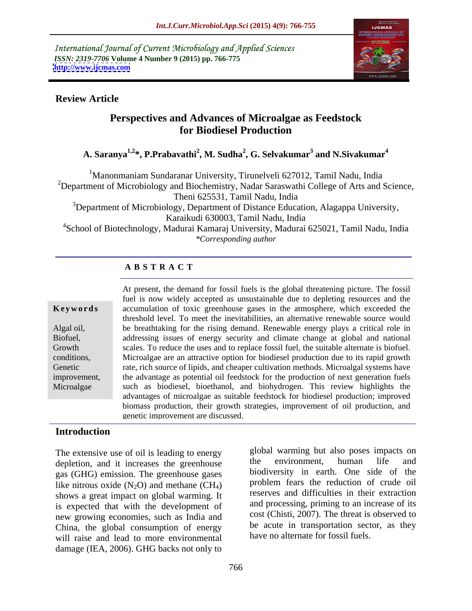International Journal of Current Microbiology and Applied Sciences *ISSN: 2319-7706* **Volume 4 Number 9 (2015) pp. 766-775 <http://www.ijcmas.com>**



### **Review Article**

## **Perspectives and Advances of Microalgae as Feedstock for Biodiesel Production**

### **A. Saranya1,2 \*, P.Prabavathi<sup>2</sup> , M. Sudha<sup>2</sup> , G. Selvakumar<sup>3</sup> and N.Sivakumar4**

<sup>1</sup>Manonmaniam Sundaranar University, Tirunelveli 627012, Tamil Nadu, India

<sup>2</sup>Department of Microbiology and Biochemistry, Nadar Saraswathi College of Arts and Science, Theni 625531, Tamil Nadu, India

<sup>3</sup>Department of Microbiology, Department of Distance Education, Alagappa University, Karaikudi 630003, Tamil Nadu, India

<sup>4</sup>School of Biotechnology, Madurai Kamaraj University, Madurai 625021, Tamil Nadu, India *\*Corresponding author*

### **A B S T R A C T**

Microalgae

At present, the demand for fossil fuels is the global threatening picture. The fossil fuel is now widely accepted as unsustainable due to depleting resources and the **Keywords** accumulation of toxic greenhouse gases in the atmosphere, which exceeded the threshold level. To meet the inevitabilities, an alternative renewable source would be breathtaking for the rising demand. Renewable energy plays a critical role in Algal oil, addressing issues of energy security and climate change at global and national Biofuel, scales. To reduce the uses and to replace fossil fuel, the suitable alternate is biofuel. Growth conditions, Microalgae are an attractive option for biodiesel production due to its rapid growth rate, rich source of lipids, and cheaper cultivation methods. Microalgal systems have Genetic improvement, the advantage as potential oil feedstock for the production of next generation fuels such as biodiesel, bioethanol, and biohydrogen. This review highlights the advantages of microalgae as suitable feedstock for biodiesel production; improved biomass production, their growth strategies, improvement of oil production, and genetic improvement are discussed.

### **Introduction**

The extensive use of oil is leading to energy a global warming but also poses impacts on depletion and it increases the greenhouse the environment, human life and depletion, and it increases the greenhouse gas (GHG) emission. The greenhouse gases like nitrous oxide  $(N_2O)$  and methane  $(CH_4)$ shows a great impact on global warming. It is expected that with the development of new growing economies, such as India and China, the global consumption of energy will raise and lead to more environmental damage (IEA, 2006). GHG backs not only to

global warming but also poses impacts on the environment, human life and biodiversity in earth. One side of the problem fears the reduction of crude oil reserves and difficulties in their extraction and processing, priming to an increase of its cost (Chisti, 2007). The threat is observed to be acute in transportation sector, as they have no alternate for fossil fuels.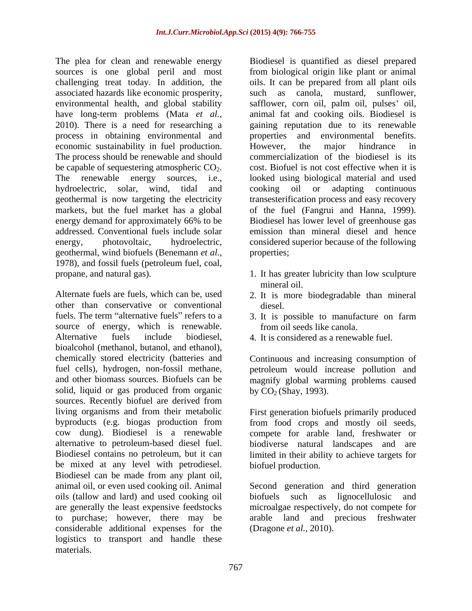challenging treat today. In addition, the process in obtaining environmental and economic sustainability in fuel production. However, the major hindrance in The process should be renewable and should geothermal is now targeting the electricity markets, but the fuel market has a global of the fuel (Fangrui and Hanna, 1999). energy demand for approximately 66% to be Biodiesel has lower level of greenhouse gas geothermal, wind biofuels (Benemann *et al.,* 1978), and fossil fuels (petroleum fuel, coal, propane, and natural gas). 1. It has greater lubricity than low sculpture

Alternate fuels are fuels, which can be, used 2. It is more biodegradable than mineral other than conservative or conventional fuels. The term "alternative fuels" refers to a 3. It is possible to manufacture on farm source of energy, which is renewable. Alternative fuels include biodiesel, 4. It is considered as a renewable fuel. bioalcohol (methanol, butanol, and ethanol), chemically stored electricity (batteries and fuel cells), hydrogen, non-fossil methane, petroleum would increase pollution and and other biomass sources. Biofuels can be magnify global warming problems caused solid, liquid or gas produced from organic sources. Recently biofuel are derived from living organisms and from their metabolic First generation biofuels primarily produced byproducts (e.g. biogas production from from food crops and mostly oil seeds, cow dung). Biodiesel is a renewable compete for arable land, freshwater or alternative to petroleum-based diesel fuel. biodiverse natural landscapes and are Biodiesel contains no petroleum, but it can limited in their ability to achieve targets for be mixed at any level with petrodiesel. Biodiesel can be made from any plant oil, animal oil, or even used cooking oil. Animal Second generation and third generation oils (tallow and lard) and used cooking oil are generally the least expensive feedstocks microalgae respectively, do not compete for to purchase; however, there may be arable land and precious freshwater considerable additional expenses for the logistics to transport and handle these materials.

The plea for clean and renewable energy Biodiesel is quantified as diesel prepared sources is one global peril and most from biological origin like plant or animal associated hazards like economic prosperity, such as canola, mustard, sunflower, environmental health, and global stability safflower, corn oil, palm oil, pulses' oil, have long-term problems (Mata *et al.,* animal fat and cooking oils. Biodiesel is 2010). There is a need for researching a gaining reputation due to its renewable be capable of sequestering atmospheric  $CO_2$ . cost. Biofuel is not cost effective when it is<br>The renewable energy sources, i.e., looked using biological material and used hydroelectric, solar, wind, tidal and cooking oil or adapting continuous addressed. Conventional fuels include solar emission than mineral diesel and hence energy, photovoltaic, hydroelectric, considered superior because of the following oils. It can be prepared from all plant oils and environmental benefits. However, the major hindrance in commercialization of the biodiesel is its cost. Biofuel is not cost effective when it is looked using biological material and used transesterification process and easy recovery of the fuel (Fangrui and Hanna, 1999). Biodiesel has lower level of greenhouse gas properties;

- mineral oil.
- diesel.
- from oil seeds like canola.
- 

Continuous and increasing consumption of by  $CO<sub>2</sub>$  (Shay, 1993).

biofuel production.

biofuels such as lignocellulosic arable land and precious (Dragone *et al.,* 2010).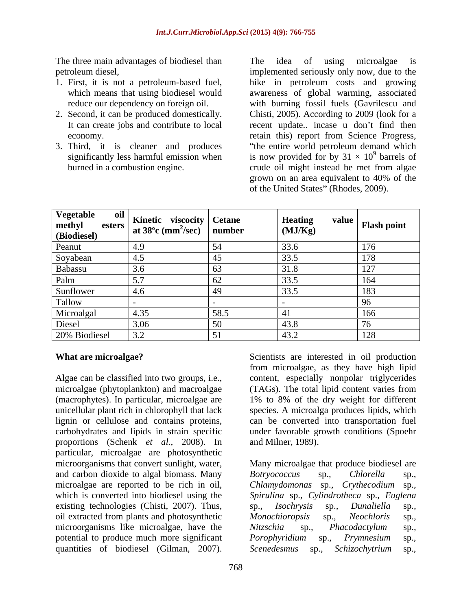The three main advantages of biodiesel than The idea of using microalgae is

- 1. First, it is not a petroleum-based fuel,
- 
- 3. Third, it is cleaner and produces "the entire world petroleum demand which

petroleum diesel, implemented seriously only now, due to the which means that using biodiesel would awareness of global warming, associated reduce our dependency on foreign oil. with burning fossil fuels (Gavrilescu and 2. Second, it can be produced domestically. Chisti, 2005). According to 2009 (look for a It can create jobs and contribute to local recent update.. incase u don't find then economy. retain this) report from Science Progress, significantly less harmful emission when is now provided for by  $31 \times 10^9$  barrels of burned in a combustion engine. The crude oil might instead be met from algae The idea of using microalgae is hike in petroleum costs and growing the entire world petroleum demand which  $9<sup>9</sup>$  borrols of barrels of crude oil might instead be met from algae grown on an area equivalent to 40% of the of the United States" (Rhodes, 2009).

| Vegetable<br>methyl<br>esters  <br>(Biodiesel) | oil<br>  Kinetic viscocity   Cetane<br>  at $38^{\circ}$ c (mm <sup>2</sup> /sec)   number |      | <b>Heating</b><br>(MJ/Kg) | value<br><b>Flash point</b> |
|------------------------------------------------|--------------------------------------------------------------------------------------------|------|---------------------------|-----------------------------|
| Peanut                                         |                                                                                            |      | 33.6                      | 1/t                         |
| Soyabean                                       |                                                                                            |      | 33.5                      | 178                         |
| Babassu                                        |                                                                                            |      | 31.8                      | 127                         |
| Palm                                           |                                                                                            |      | 33.5                      |                             |
| Sunflower                                      | 4.D                                                                                        |      | 33.5                      | 183                         |
| Tallow                                         |                                                                                            |      |                           |                             |
| Microalgal                                     | 1.35                                                                                       | 58.5 |                           | 166                         |
| Diesel                                         | 3.06                                                                                       |      | 43.8                      |                             |
| 20% Biodiesel                                  | $\sim$ $\sim$                                                                              |      | 43.2                      | 128                         |

proportions (Schenk *et al.,* 2008). In particular, microalgae are photosynthetic microorganisms that convert sunlight, water, Many microalgae that produce biodiesel are and carbon dioxide to algal biomass. Many Botryococcus sp., Chlorella sp., microalgae are reported to be rich in oil, Chlamydomonas sp., Crythecodium sp., which is converted into biodiesel using the Spirulina sp., Cylindrotheca sp., Euglena existing technologies (Chisti, 2007). Thus, sp., *Isochrysis* sp., *Dunaliella* sp., oil extracted from plants and photosynthetic Monochioropsis sp., Neochloris sp., microorganisms like microalgae, have the Nitzschia sp., Phacodactylum sp., potential to produce much more significant Porophyridium sp., Prymnesium sp., **What are microalgae?** Scientists are interested in oil production<br>
Algae can be classified into two groups, i.e.,<br>
content, especially nonpolar triglycerides<br>
microalgae (phytoplankton) and macroalgae (TAGs). The total l

**What are microalgae?** Scientists are interested in oil production Algae can be classified into two groups, i.e., content, especially nonpolar triglycerides microalgae (phytoplankton) and macroalgae (TAGs). The total lipid content varies from (macrophytes). In particular, microalgae are 1% to 8% of the dry weight for different unicellular plant rich in chlorophyll that lack species. A microalga produces lipids, which lignin or cellulose and contains proteins, can be converted into transportation fuel carbohydrates and lipids in strain specific under favorable growth conditions (Spoehr from microalgae, as they have high lipid content, especially nonpolar triglycerides (TAGs). The total lipid content varies from

and Milner, 1989).<br>Many microalgae that produce biodiesel are *Botryococcus* sp.*, Chlorella* sp.*, Chlamydomonas* sp.*, Crythecodium* sp.*, Spirulina* sp.*, Cylindrotheca* sp.*, Euglena* sp., Isochrysis sp., Dunaliella sp.,<br>Monochioropsis sp., Neochloris sp.,<br>Nitzschia sp., Phacodactylum sp.,<br>Porophyridium sp., Prymnesium sp.,<br>Scenedesmus sp., Schizochytrium sp.,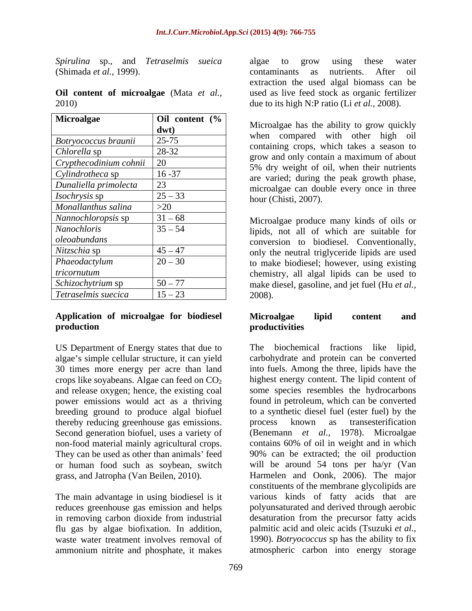*Spirulina* sp.*,* and *Tetraselmis sueica*

|       |  | Oil content of microalgae (Mata et al., |  |  |
|-------|--|-----------------------------------------|--|--|
| 2010) |  |                                         |  |  |

| Microalgae<br>Oil content (%       | Microalgae has the ability to grow quickly |
|------------------------------------|--------------------------------------------|
| $\frac{dw(t)}{dt}$                 |                                            |
| $25 - 75$<br>Botryococcus braunii  |                                            |
| 28-32<br>Chlorella sp              |                                            |
| Crypthecodinium cohnii 20          |                                            |
| $16 - 37$<br>Cylindrotheca sp      |                                            |
| Dunaliella primolecta              |                                            |
| $25 - 33$<br>Isochrysis sp         |                                            |
| Monallanthus salina                |                                            |
| Nannochloropsis sp<br>$31 - 68$    |                                            |
| $35 - 54$<br>Nanochloris           |                                            |
| oleoabundans                       |                                            |
| $ 45 - 47 $<br><i>Nitzschia</i> sp |                                            |
| $20 - 30$<br>Phaeodactylum         |                                            |
|                                    |                                            |
| tricornutum                        |                                            |
| $50 - 77$<br>Schizochytrium sp     |                                            |
| $15 - 23$<br>Tetraselmis suecica   |                                            |

# **Application of microalgae for biodiesel**

US Department of Energy states that due to The biochemical fractions like lipid, 30 times more energy per acre than land crops like soyabeans. Algae can feed on  $CO<sub>2</sub>$ <br>and release oxygen; hence, the existing coal power emissions would act as a thriving breeding ground to produce algal biofuel thereby reducing greenhouse gas emissions. Second generation biofuel, uses a variety of non-food material mainly agricultural crops.

reduces greenhouse gas emission and helps ammonium nitrite and phosphate, it makes

(Shimada *et al.,* 1999). **Oil content of microalgae** (Mata *et al.,* used as live feed stock as organic fertilizer 2010) due to its high N:P ratio (Li *et al.,* 2008). algae to grow using these water contaminants as nutrients. After oil extraction the used algal biomass can be

### **production Microalgae lipid content and productivities**

algae's simple cellular structure, it can yield carbohydrate and protein can be converted and release oxygen; hence, the existing coal some species resembles the hydrocarbons They can be used as other than animals feed 90% can be extracted; the oil production or human food such as soybean, switch will be around 54 tons per ha/yr (Van grass, and Jatropha (Van Beilen, 2010). Harmelen and Oonk, 2006). The major The main advantage in using biodiesel is it various kinds of fatty acids that are in removing carbon dioxide from industrial desaturation from the precursor fatty acids flu gas by algae biofixation. In addition, palmitic acid and oleic acids (Tsuzuki *et al.,* waste water treatment involves removal of 1990). *Botryococcus* sp has the ability to fix biochemical fractions like into fuels. Among the three, lipids have the highest energy content. The lipid content of found in petroleum, which can be converted to a synthetic diesel fuel (ester fuel) by the process known as transesterification (Benemann *et al.,* 1978). Microalgae contains 60% of oil in weight and in which constituents of the membrane glycolipids are polyunsaturated and derived through aerobic atmospheric carbon into energy storage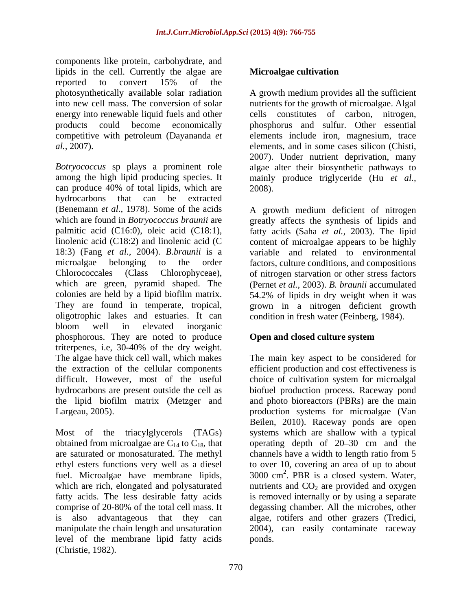components like protein, carbohydrate, and lipids in the cell. Currently the algae are **Microalgae cultivation** reported to convert 15% of the photosynthetically available solar radiation into new cell mass. The conversion of solar nutrients for the growth of microalgae. Algal energy into renewable liquid fuels and other eells constitutes of carbon, nitrogen, products could become economically phosphorus and sulfur. Other essential competitive with petroleum (Dayananda *et*  elements include iron, magnesium, trace *al.,* 2007).

*Botryococcus* sp plays a prominent role algae alter their biosynthetic pathways to among the high lipid producing species. It mainly produce triglyceride (Hu *et al.,* can produce 40% of total lipids, which are  $2008$ . hydrocarbons that can be extracted (Benemann *et al.,* 1978). Some of the acids A growth medium deficient of nitrogen which are found in *Botryococcus braunii* are greatly affects the synthesis of lipids and palmitic acid (C16:0), oleic acid (C18:1), fatty acids (Saha *et al.,* 2003). The lipid linolenic acid  $(C18:2)$  and linolenic acid  $(C \t\t \text{content of microalgae appears to be highly}$ 18:3) (Fang *et al.,* 2004). *B.braunii* is a variable and related to environmental microalgae belonging to the order factors, culture conditions, and compositions Chlorococcales (Class Chlorophyceae), of nitrogen starvation or other stress factors which are green, pyramid shaped. The (Pernet *et al.,* 2003). *B. braunii* accumulated colonies are held by a lipid biofilm matrix. 54.2% of lipids in dry weight when it was They are found in temperate, tropical, grown in a nitrogen deficient growth oligotrophic lakes and estuaries. It can condition in fresh water (Feinberg, 1984). bloom well in elevated inorganic phosphorous. They are noted to produce **Open and closed culture system** triterpenes, i.e, 30-40% of the dry weight. The algae have thick cell wall, which makes The main key aspect to be considered for the extraction of the cellular components efficient production and cost effectiveness is difficult. However, most of the useful choice of cultivation system for microalgal hydrocarbons are present outside the cell as biofuel production process. Raceway pond the lipid biofilm matrix (Metzger and and photo bioreactors(PBRs) are the main Largeau, 2005). The contraction systems for microalgae (Van lipieds in the cell. Christie and the state of the state of the state of the state of the state of the state of the state of the state of the state of the state of the state of the state of the state of the state of the st

is also advantageous that they can algae, rotifers and other grazers (Tredici, manipulate the chain length and unsaturation 2004), can easily contaminate raceway level of the membrane lipid fatty acids

A growth medium provides all the sufficient cells constitutes of carbon, elements, and in some cases silicon (Chisti, 2007). Under nutrient deprivation, many 2008).

### **Open and closed culture system**

Most of the triacylglycerols (TAGs) systems which are shallow with a typical obtained from microalgae are  $C_{14}$  to  $C_{18}$ , that operating depth of 20–30 cm and the are saturated or monosaturated. The methyl channels have a width to length ratio from 5 ethyl esters functions very well as a diesel to over10, covering an area of up to about fuel. Microalgae have membrane lipids, 3000 cm<sup>2</sup>. PBR is a closed system. Water, which are rich, elongated and polysaturated mutrients and  $CO<sub>2</sub>$  are provided and oxygen fatty acids. The less desirable fatty acids is removed internally or by using a separate comprise of 20-80% of the total cell mass. It degassing chamber. All the microbes, other Beilen, 2010). Raceway ponds are open algae, rotifers and other grazers (Tredici, 2004), can easily contaminate raceway ponds.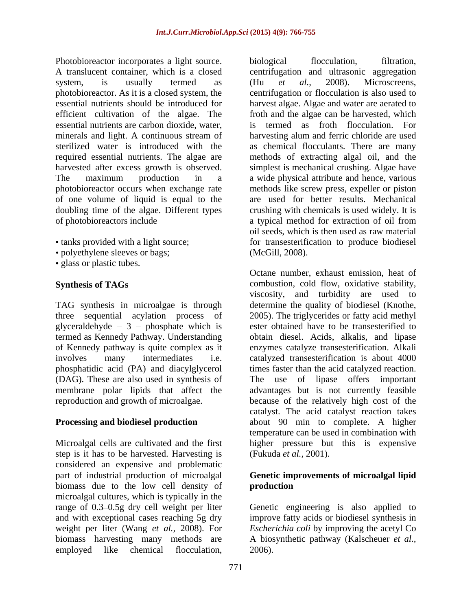Photobioreactor incorporates a light source. biological flocculation, filtration, A translucent container, which is a closed centrifugation and ultrasonic aggregation system, is usually termed as (Hu et al., 2008). Microscreens, photobioreactor. As it is a closed system, the centrifugation or flocculation is also used to essential nutrients should be introduced for harvest algae. Algae and water are aerated to efficient cultivation of the algae. The essential nutrients are carbon dioxide, water, minerals and light. A continuous stream of sterilized water is introduced with the as chemical flocculants. There are many required essential nutrients. The algae are methods of extracting algal oil, and the harvested after excess growth is observed. simplest is mechanical crushing. Algae have The maximum production in a a wide physical attribute and hence, various photobioreactor occurs when exchange rate methods like screw press, expeller or piston of one volume of liquid is equal to the are used for better results. Mechanical doubling time of the algae. Different types of photobioreactors include a typical method for extraction of oil from

- 
- polyethylene sleeves or bags;
- glass or plastic tubes.

TAG synthesis in microalgae is through determine the quality of biodiesel (Knothe, three sequential acylation process of 2005). The triglycerides or fatty acid methyl glyceraldehyde  $-3$  - phosphate which is termed as Kennedy Pathway. Understanding (DAG). These are also used in synthesis of

step is it has to be harvested. Harvesting is (Fukuda *et al.*, 2001). considered an expensive and problematic part of industrial production of microalgal **Genetic improvements of microalgal lipid** biomass due to the low cell density of **production** microalgal cultures, which is typically in the range of 0.3–0.5g dry cell weight per liter Genetic engineering is also applied to and with exceptional cases reaching 5g dry improve fatty acids or biodiesel synthesis in weight per liter (Wang *et al.,* 2008). For *Escherichia coli* by improving the acetyl Co biomass harvesting many methods are A biosynthetic pathway (Kalscheuer *et al.,* employed like chemical flocculation, 2006).

tanks provided with a light source; for transesterification to produce biodiesel biological flocculation, filtration, (Hu *et al.,* 2008). Microscreens, froth and the algae can be harvested, which termed as froth flocculation. harvesting alum and ferric chloride are used crushing with chemicals is used widely. It is oil seeds, which is then used as raw material (McGill, 2008).

**Synthesis of TAGs** combustion, cold flow, oxidative stability, of Kennedy pathway is quite complex as it enzymes catalyze transesterification. Alkali involves many intermediates i.e. catalyzed transesterification is about 4000 phosphatidic acid (PA) and diacylglycerol times faster than the acid catalyzed reaction. membrane polar lipids that affect the advantages but is not currently feasible reproduction and growth of microalgae. because of the relatively high cost of the **Processing and biodiesel production** about 90 min to complete. A higher Microalgal cells are cultivated and the first higher pressure but this is expensive Octane number, exhaust emission, heat of viscosity, and turbidity are used to determine the quality of biodiesel (Knothe,<br>2005). The triglycerides or fatty acid methyl ester obtained have to be transesterified to obtain diesel. Acids, alkalis, and lipase lipase offers important catalyst. The acid catalyst reaction takes temperature can be used in combination with (Fukuda *et al.,* 2001).

# **production**

2006).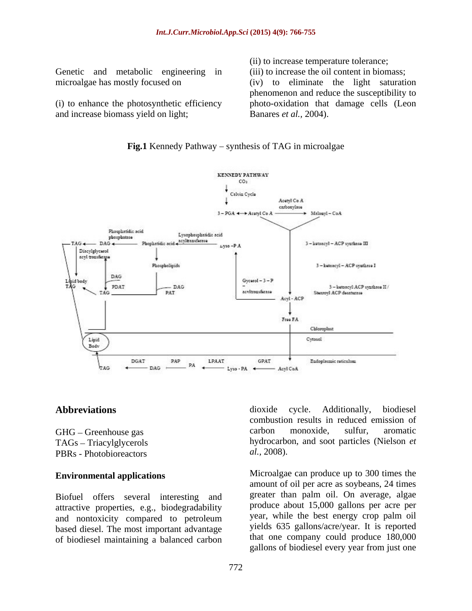Genetic and metabolic engineering in

and increase biomass yield on light;

(ii) to increase temperature tolerance;

microalgae has mostly focused on (iv) to eliminate the light saturation (i) to enhance the photosynthetic efficiency photo-oxidation that damage cells (Leon (iii) to increase the oil content in biomass; phenomenon and reduce the susceptibility to Banares *et al.,* 2004).



### **Fig.1** Kennedy Pathway – synthesis of TAG in microalgae

Biofuel offers several interesting and attractive properties, e.g., biodegradability and nontoxicity compared to petroleum based diesel. The most important advantage of biodiesel maintaining a balanced carbon

Abbreviations dioxide cycle. Additionally, biodiesel GHG – Greenhouse gas carbon monoxide, sulfur, aromatic TAGs Triacylglycerols hydrocarbon, and soot particles (Nielson *et*  PBRs - Photobioreactors al., 2008). dioxide cycle. Additionally, biodiesel combustion results in reduced emission of carbon monoxide, sulfur, aromatic *al.,* 2008).

**Environmental applications** Microalgae can produce up to 300 times the amount of oil per acre as soybeans, 24 times greater than palm oil. On average, algae produce about 15,000 gallons per acre per year, while the best energy crop palm oil yields 635 gallons/acre/year. It is reported that one company could produce 180,000 gallons of biodiesel every year from just one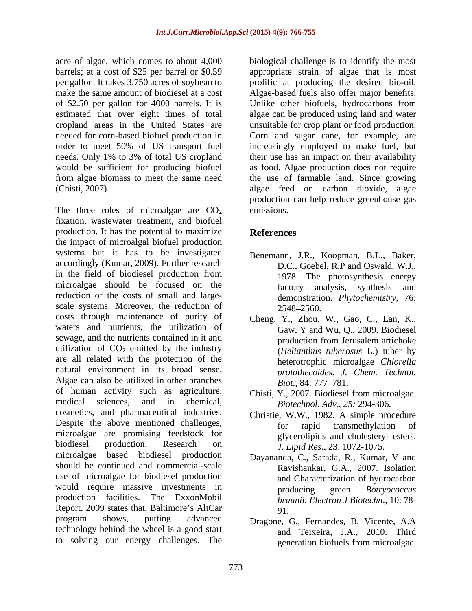acre of algae, which comes to about 4,000 biological challenge is to identify the most barrels; at a cost of \$25 per barrel or \$0.59 appropriate strain of algae that is most per gallon. It takes 3,750 acres of soybean to prolific at producing the desired bio-oil. make the same amount of biodiesel at a cost Algae-based fuels also offer major benefits. of \$2.50 per gallon for 4000 barrels. It is Unlike other biofuels, hydrocarbons from estimated that over eight times of total algae can be produced using land and water cropland areas in the United States are unsuitable for crop plant or food production. needed for corn-based biofuel production in Corn and sugar cane, for example, are order to meet 50% of US transport fuel increasingly employed to make fuel, but needs. Only 1% to 3% of total US cropland their use has an impact on their availability would be sufficient for producing biofuel as food. Algae production does not require from algae biomass to meet the same need the use of farmable land. Since growing (Chisti, 2007). algae feed on carbon dioxide, algae

The three roles of microalgae are  $CO<sub>2</sub>$  emissions. fixation, wastewater treatment, and biofuel production. It has the potential to maximize References the impact of microalgal biofuel production systems but it has to be investigated accordingly (Kumar, 2009). Further research in the field of biodiesel production from microalgae should be focused on the factory analysis, synthesis and reduction of the costs of small and large scale systems. Moreover, the reduction of  $2548-2560$ . costs through maintenance of purity of waters and nutrients, the utilization of sewage, and the nutrients contained in it and production from Jerusalem artichoke utilization of  $CO<sub>2</sub>$  emitted by the industry are all related with the protection of the natural environment in its broad sense. Algae can also be utilized in other branches  $Biot., 84: 777-781.$ of human activity such as agriculture, medical sciences, and in chemical, *Biotechnol. Adv*., *25:* 294-306. cosmetics, and pharmaceutical industries. Despite the above mentioned challenges,  $\overrightarrow{f}$  for rapid transmethylation of microalgae are promising feedstock for biodiesel production. Research on  $\overrightarrow{J}$  Lipid Res. 23: 1072-1075 microalgae based biodiesel production should be continued and commercial-scale use of microalgae for biodiesel production would require massive investments in producing green *Botryococcus* production facilities. The ExxonMobil Report, 2009 states that, Baltimore's AltCar 91 program shows, putting advanced Dragone, G., Fernandes, B, Vicente, A.A technology behind the wheel is a good start

production can help reduce greenhouse gas emissions.

## **References**

- Benemann, J.R., Koopman, B.L., Baker, D.C., Goebel, R.P and Oswald, W.J., 1978. The photosynthesis energy factory analysis, synthesis and demonstration. *Phytochemistry*, 76: 2548–2560.
- Cheng, Y., Zhou, W., Gao, C., Lan, K., Gaw, Y and Wu, Q., 2009. Biodiesel production from Jerusalem artichoke (*Helianthus tuberosus* L.) tuber by heterotrophic microalgae *Chlorella protothecoides. J. Chem. Technol. Biot.*, 84: 777–781.
- Chisti, Y., 2007. Biodiesel from microalgae.
- Christie, W.W., 1982. A simple procedure for rapid transmethylation of glycerolipids and cholesteryl esters. *J. Lipid Res*., 23: 1072-1075.
- Dayananda, C., Sarada, R., Kumar, V and Ravishankar, G.A., 2007. Isolation and Characterization of hydrocarbon producing green *Botryococcus braunii. Electron J Biotechn*., 10: 78- 91.
- to solving our energy challenges. The generation biofuels from microalgae. and Teixeira, J.A., 2010. Third generation biofuels from microalgae.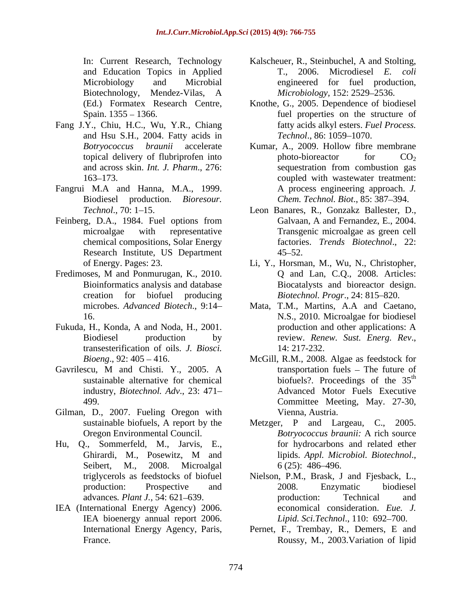- Fang J.Y., Chiu, H.C., Wu, Y.R., Chiang and Hsu S.H., 2004. Fatty acids in Technol., 86: 1059–1070.
- 
- Feinberg, D.A., 1984. Fuel options from Galvaan, A and Fernandez, E., 2004. chemical compositions, Solar Energy Research Institute, US Department
- Fredimoses, M and Ponmurugan, K., 2010. Q and Lan, C.Q., 2008. Articles:
- Fukuda, H., Konda, A and Noda, H., 2001. transesterification of oils. *J. Biosci.*
- 
- Gilman, D., 2007. Fueling Oregon with
- Hu, Q., Sommerfeld, M., Jarvis, E., Seibert, M., 2008. Microalgal 6 (25): 486–496.
- IEA (International Energy Agency) 2006. economical consideration. *Eue. J.* IEA bioenergy annual report 2006. Lipid. Sci. Technol., 110: 692-700.
- In: Current Research, Technology Kalscheuer, R., Steinbuchel, A and Stolting, and Education Topics in Applied T., 2006. Microdiesel E. coli Microbiology and Microbial engineered for fuel production, Biotechnology, Mendez-Vilas, A *Microbiology*, 152: 2529–2536. Kalscheuer, R., Steinbuchel, <sup>A</sup> and Stolting, T., 2006. Microdiesel *E. coli Microbiology,* 152: 2529–2536.
- (Ed.) Formatex Research Centre, Knothe, G., 2005. Dependence of biodiesel Spain. 1355 – 1366. The structure of the structure of spain. 1355 – 1366. fatty acids alkyl esters. *Fuel Process. Technol.*, 86: 1059–1070.
- *Botryococcus braunii* accelerate Kumar, A., 2009. Hollow fibre membrane topical delivery of flubriprofen into  $\qquad \qquad$  photo-bioreactor  $\qquad \qquad CO<sub>2</sub>$ and across skin. *Int. J. Pharm*., 276: 163–173. Coupled with wastewater treatment: Fangrui M.A and Hanna, M.A., 1999. Biodiesel production. *Bioresour*. Chem. Technol. Biot., 85: 387–394. photo-bioreactor for  $CO<sub>2</sub>$ sequestration from combustion gas A process engineering approach. *J.* 
	- Technol., 70: 1–15. **Leon Banares, R., Gonzakz Ballester, D.**, microalgae with representative Transgenic microalgae as green cell Galvaan, A and Fernandez, E., 2004.<br>Transgenic microalgae as green cell factories. *Trends Biotechnol*., 22:  $45 - 52$ .
	- of Energy. Pages: 23. Li, Y., Horsman, M., Wu, N., Christopher, Bioinformatics analysis and database Biocatalysts and bioreactor design. creation for biofuel producing *Biotechnol. Progr.*, 24: 815–820. Li, Y., Horsman, M., Wu, N., Christopher, Q and Lan, C.Q., 2008. Articles:
	- microbes. *Advanced Biotech*., 9:14 Mata, T.M., Martins, A.A and Caetano, 16. N.S., 2010. Microalgae for biodiesel Biodiesel production by review. *Renew. Sust. Energ. Rev.*, transesterification of oils. *J. Biosci.* 14: 217-232. production and other applications: A
- *Bioeng.*, 92: 405 416. McGill, R.M., 2008. Algae as feedstock for Gavrilescu, M and Chisti. Y., 2005. A sustainable alternative for chemical biofuels? Proceedings of the  $35<sup>th</sup>$ industry, *Biotechnol. Adv*., 23: 471 Advanced Motor Fuels Executive 499. Committee Meeting, May. 27-30, transportation fuels  $-$  The future of th Vienna, Austria.
	- sustainable biofuels, A report by the Metzger, P and Largeau, C., 2005. Oregon Environmental Council. *Botryococcus braunii:* A rich source Ghirardi, M., Posewitz, M and lipids. Appl. Microbiol. Biotechnol., *Botryococcus braunii:* A rich source for hydrocarbons and related ether lipids. *Appl. Microbiol. Biotechnol*., 6 (25): 486 496.
	- triglycerols as feedstocks of biofuel Nielson, P.M., Brask, J and Fjesback, L., production: Prospective and 2008. Enzymatic biodiesel advances. *Plant J.*, 54: 621–639. production: Technical and 2008. Enzymatic biodiesel production: Technical and economical consideration. *Eue. J.*<br>Lipid. Sci.Technol., 110: 692–700.
	- International Energy Agency, Paris, Pernet, F., Trembay, R., Demers, E and France. Roussy, M., 2003.Variation of lipid